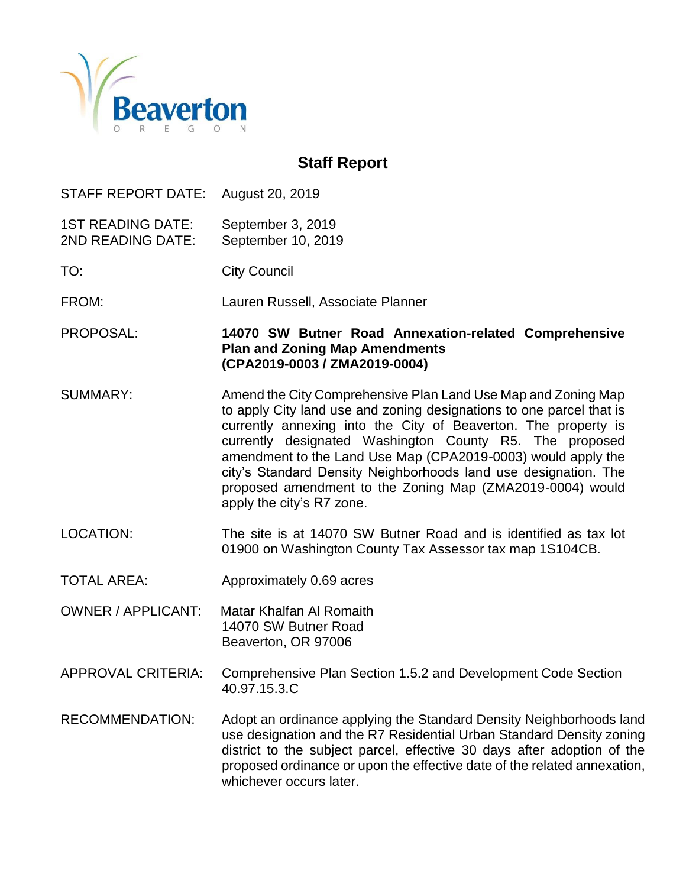

# **Staff Report**

STAFF REPORT DATE: August 20, 2019

1ST READING DATE: September 3, 2019 2ND READING DATE: September 10, 2019

TO: City Council

FROM: Lauren Russell, Associate Planner

PROPOSAL: **14070 SW Butner Road Annexation-related Comprehensive Plan and Zoning Map Amendments (CPA2019-0003 / ZMA2019-0004)**

- SUMMARY: Amend the City Comprehensive Plan Land Use Map and Zoning Map to apply City land use and zoning designations to one parcel that is currently annexing into the City of Beaverton. The property is currently designated Washington County R5. The proposed amendment to the Land Use Map (CPA2019-0003) would apply the city's Standard Density Neighborhoods land use designation. The proposed amendment to the Zoning Map (ZMA2019-0004) would apply the city's R7 zone.
- LOCATION: The site is at 14070 SW Butner Road and is identified as tax lot 01900 on Washington County Tax Assessor tax map 1S104CB.
- TOTAL AREA: Approximately 0.69 acres
- OWNER / APPLICANT: Matar Khalfan Al Romaith 14070 SW Butner Road Beaverton, OR 97006
- APPROVAL CRITERIA: Comprehensive Plan Section 1.5.2 and Development Code Section 40.97.15.3.C
- RECOMMENDATION: Adopt an ordinance applying the Standard Density Neighborhoods land use designation and the R7 Residential Urban Standard Density zoning district to the subject parcel, effective 30 days after adoption of the proposed ordinance or upon the effective date of the related annexation, whichever occurs later.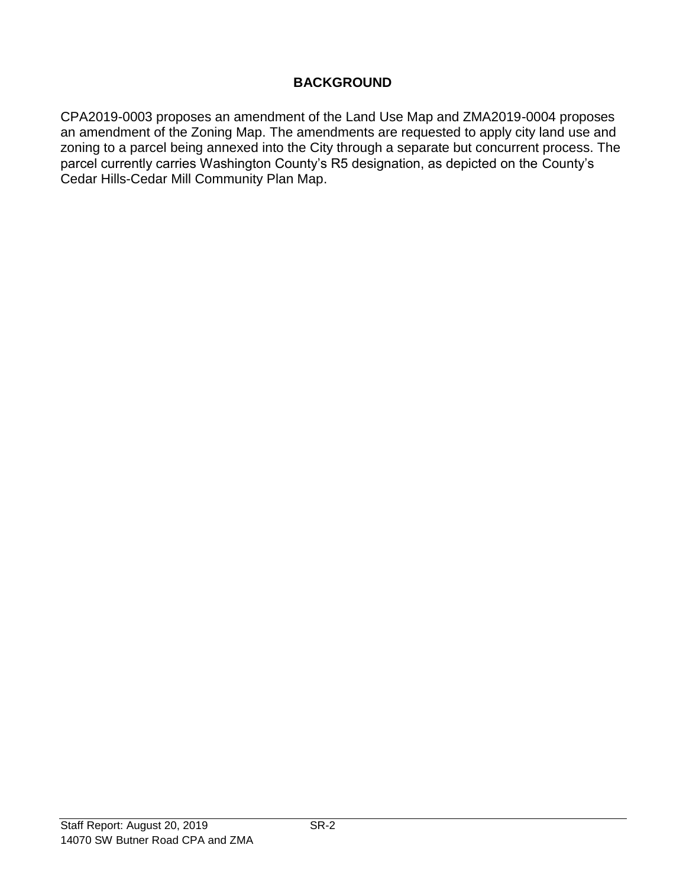# **BACKGROUND**

CPA2019-0003 proposes an amendment of the Land Use Map and ZMA2019-0004 proposes an amendment of the Zoning Map. The amendments are requested to apply city land use and zoning to a parcel being annexed into the City through a separate but concurrent process. The parcel currently carries Washington County's R5 designation, as depicted on the County's Cedar Hills-Cedar Mill Community Plan Map.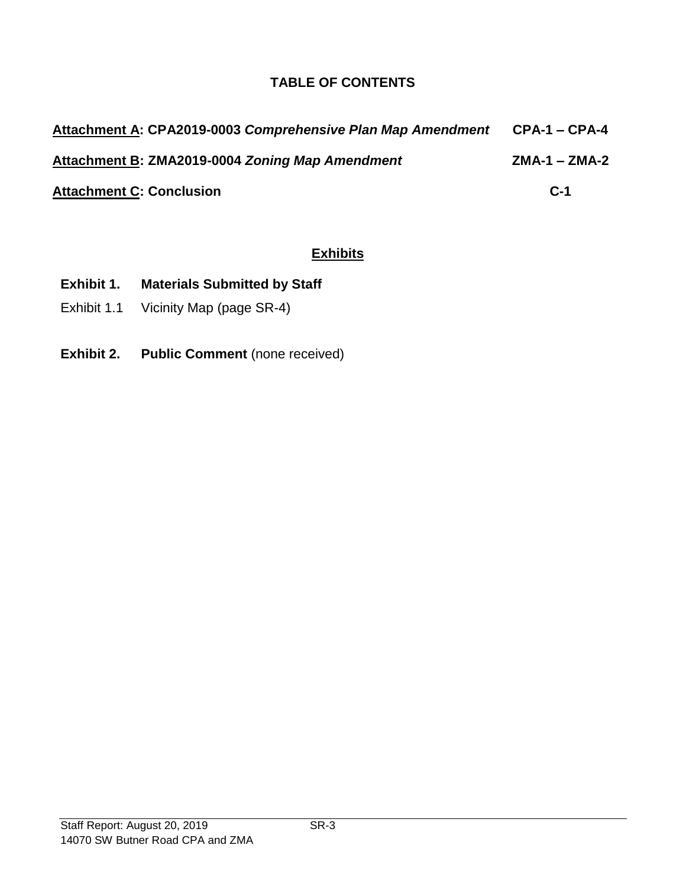# **TABLE OF CONTENTS**

| Attachment A: CPA2019-0003 Comprehensive Plan Map Amendment | <b>CPA-1 – CPA-4</b> |
|-------------------------------------------------------------|----------------------|
| Attachment B: ZMA2019-0004 Zoning Map Amendment             | $ZMA-1 - ZMA-2$      |
| <b>Attachment C: Conclusion</b>                             | $C-1$                |

# **Exhibits**

- **Exhibit 1. Materials Submitted by Staff**
- Exhibit 1.1 Vicinity Map (page SR-4)
- **Exhibit 2. Public Comment** (none received)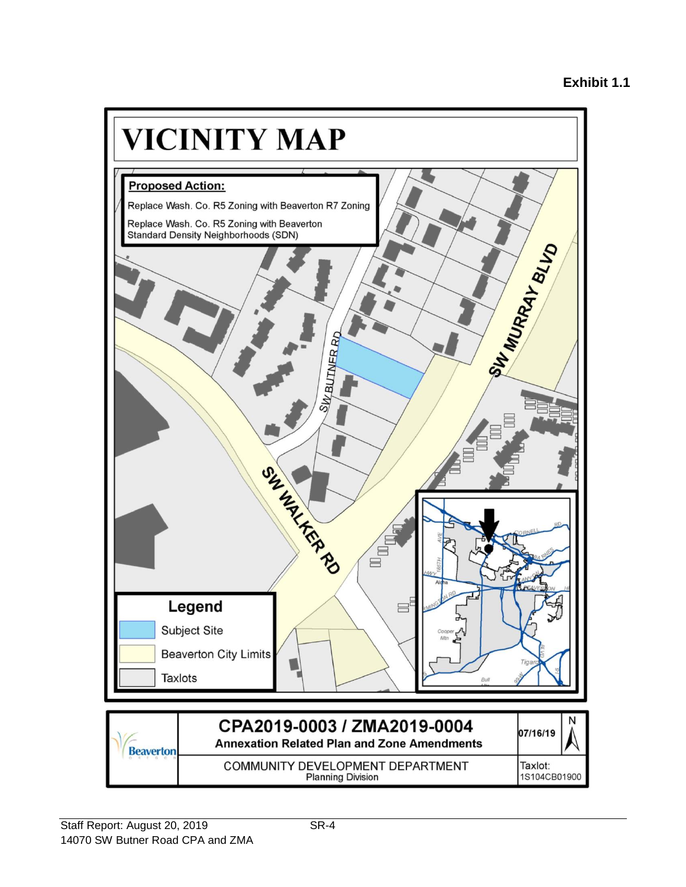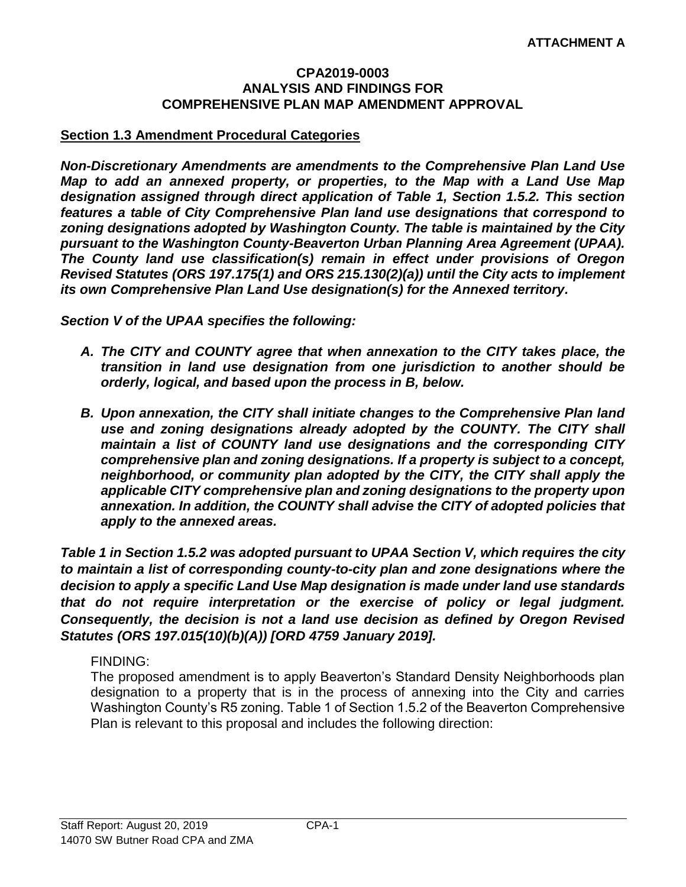#### **CPA2019-0003 ANALYSIS AND FINDINGS FOR COMPREHENSIVE PLAN MAP AMENDMENT APPROVAL**

#### **Section 1.3 Amendment Procedural Categories**

*Non-Discretionary Amendments are amendments to the Comprehensive Plan Land Use Map to add an annexed property, or properties, to the Map with a Land Use Map designation assigned through direct application of Table 1, Section 1.5.2. This section features a table of City Comprehensive Plan land use designations that correspond to zoning designations adopted by Washington County. The table is maintained by the City pursuant to the Washington County-Beaverton Urban Planning Area Agreement (UPAA). The County land use classification(s) remain in effect under provisions of Oregon Revised Statutes (ORS 197.175(1) and ORS 215.130(2)(a)) until the City acts to implement its own Comprehensive Plan Land Use designation(s) for the Annexed territory.*

*Section V of the UPAA specifies the following:*

- *A. The CITY and COUNTY agree that when annexation to the CITY takes place, the transition in land use designation from one jurisdiction to another should be orderly, logical, and based upon the process in B, below.*
- *B. Upon annexation, the CITY shall initiate changes to the Comprehensive Plan land use and zoning designations already adopted by the COUNTY. The CITY shall maintain a list of COUNTY land use designations and the corresponding CITY comprehensive plan and zoning designations. If a property is subject to a concept, neighborhood, or community plan adopted by the CITY, the CITY shall apply the applicable CITY comprehensive plan and zoning designations to the property upon annexation. In addition, the COUNTY shall advise the CITY of adopted policies that apply to the annexed areas.*

*Table 1 in Section 1.5.2 was adopted pursuant to UPAA Section V, which requires the city to maintain a list of corresponding county-to-city plan and zone designations where the decision to apply a specific Land Use Map designation is made under land use standards that do not require interpretation or the exercise of policy or legal judgment. Consequently, the decision is not a land use decision as defined by Oregon Revised Statutes (ORS 197.015(10)(b)(A)) [ORD 4759 January 2019].*

#### FINDING:

The proposed amendment is to apply Beaverton's Standard Density Neighborhoods plan designation to a property that is in the process of annexing into the City and carries Washington County's R5 zoning. Table 1 of Section 1.5.2 of the Beaverton Comprehensive Plan is relevant to this proposal and includes the following direction: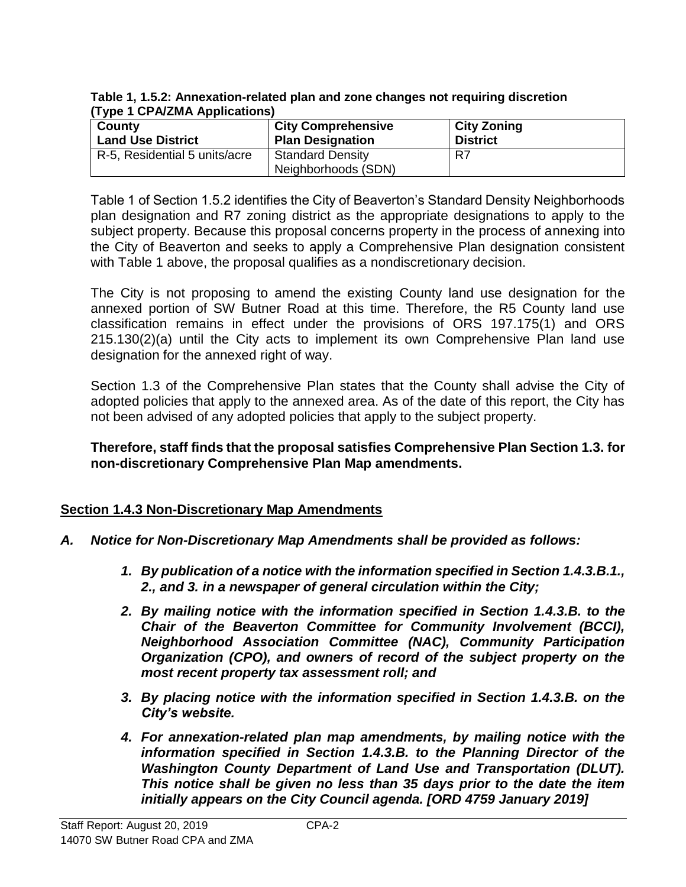**Table 1, 1.5.2: Annexation-related plan and zone changes not requiring discretion (Type 1 CPA/ZMA Applications)**

| County                        | <b>City Comprehensive</b>                      | <b>City Zoning</b> |
|-------------------------------|------------------------------------------------|--------------------|
| <b>Land Use District</b>      | <b>Plan Designation</b>                        | <b>District</b>    |
| R-5, Residential 5 units/acre | <b>Standard Density</b><br>Neighborhoods (SDN) | R7                 |

Table 1 of Section 1.5.2 identifies the City of Beaverton's Standard Density Neighborhoods plan designation and R7 zoning district as the appropriate designations to apply to the subject property. Because this proposal concerns property in the process of annexing into the City of Beaverton and seeks to apply a Comprehensive Plan designation consistent with Table 1 above, the proposal qualifies as a nondiscretionary decision.

The City is not proposing to amend the existing County land use designation for the annexed portion of SW Butner Road at this time. Therefore, the R5 County land use classification remains in effect under the provisions of ORS 197.175(1) and ORS 215.130(2)(a) until the City acts to implement its own Comprehensive Plan land use designation for the annexed right of way.

Section 1.3 of the Comprehensive Plan states that the County shall advise the City of adopted policies that apply to the annexed area. As of the date of this report, the City has not been advised of any adopted policies that apply to the subject property.

### **Therefore, staff finds that the proposal satisfies Comprehensive Plan Section 1.3. for non-discretionary Comprehensive Plan Map amendments.**

# **Section 1.4.3 Non-Discretionary Map Amendments**

- *A. Notice for Non-Discretionary Map Amendments shall be provided as follows:*
	- *1. By publication of a notice with the information specified in Section 1.4.3.B.1., 2., and 3. in a newspaper of general circulation within the City;*
	- *2. By mailing notice with the information specified in Section 1.4.3.B. to the Chair of the Beaverton Committee for Community Involvement (BCCI), Neighborhood Association Committee (NAC), Community Participation Organization (CPO), and owners of record of the subject property on the most recent property tax assessment roll; and*
	- *3. By placing notice with the information specified in Section 1.4.3.B. on the City's website.*
	- *4. For annexation-related plan map amendments, by mailing notice with the information specified in Section 1.4.3.B. to the Planning Director of the Washington County Department of Land Use and Transportation (DLUT). This notice shall be given no less than 35 days prior to the date the item initially appears on the City Council agenda. [ORD 4759 January 2019]*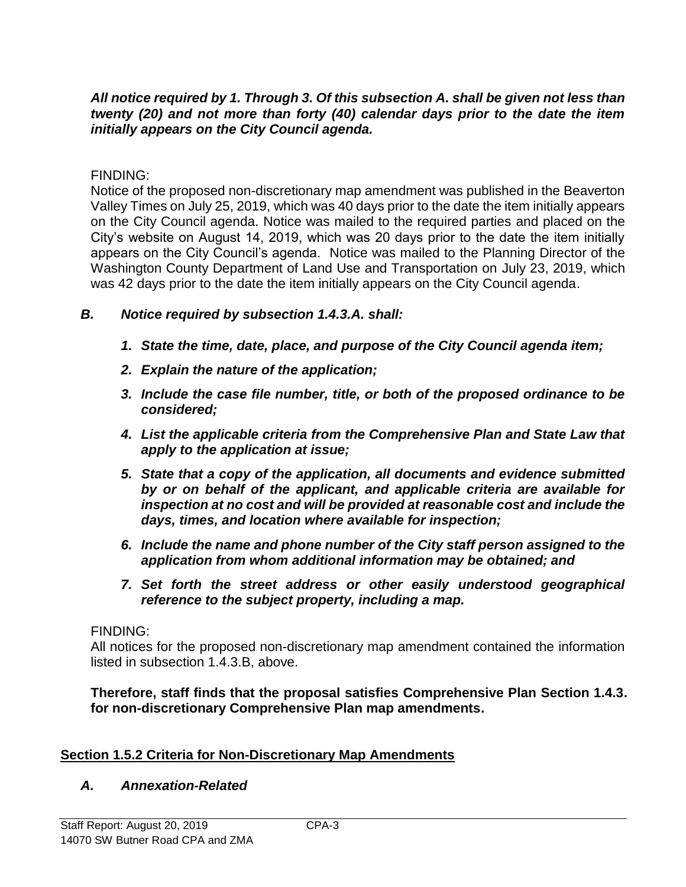### *All notice required by 1. Through 3. Of this subsection A. shall be given not less than twenty (20) and not more than forty (40) calendar days prior to the date the item initially appears on the City Council agenda.*

FINDING:

Notice of the proposed non-discretionary map amendment was published in the Beaverton Valley Times on July 25, 2019, which was 40 days prior to the date the item initially appears on the City Council agenda. Notice was mailed to the required parties and placed on the City's website on August 14, 2019, which was 20 days prior to the date the item initially appears on the City Council's agenda. Notice was mailed to the Planning Director of the Washington County Department of Land Use and Transportation on July 23, 2019, which was 42 days prior to the date the item initially appears on the City Council agenda.

### *B. Notice required by subsection 1.4.3.A. shall:*

- *1. State the time, date, place, and purpose of the City Council agenda item;*
- *2. Explain the nature of the application;*
- *3. Include the case file number, title, or both of the proposed ordinance to be considered;*
- *4. List the applicable criteria from the Comprehensive Plan and State Law that apply to the application at issue;*
- *5. State that a copy of the application, all documents and evidence submitted by or on behalf of the applicant, and applicable criteria are available for inspection at no cost and will be provided at reasonable cost and include the days, times, and location where available for inspection;*
- *6. Include the name and phone number of the City staff person assigned to the application from whom additional information may be obtained; and*
- *7. Set forth the street address or other easily understood geographical reference to the subject property, including a map.*

### FINDING:

All notices for the proposed non-discretionary map amendment contained the information listed in subsection 1.4.3.B, above.

**Therefore, staff finds that the proposal satisfies Comprehensive Plan Section 1.4.3. for non-discretionary Comprehensive Plan map amendments.**

# **Section 1.5.2 Criteria for Non-Discretionary Map Amendments**

### *A. Annexation-Related*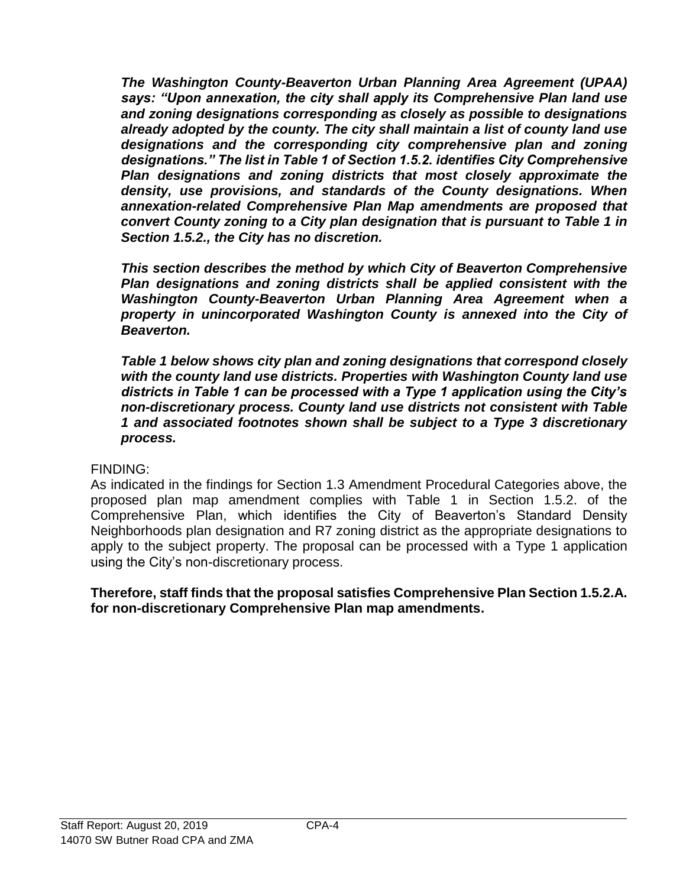*The Washington County-Beaverton Urban Planning Area Agreement (UPAA) says: "Upon annexation, the city shall apply its Comprehensive Plan land use and zoning designations corresponding as closely as possible to designations already adopted by the county. The city shall maintain a list of county land use designations and the corresponding city comprehensive plan and zoning designations." The list in Table 1 of Section 1.5.2. identifies City Comprehensive Plan designations and zoning districts that most closely approximate the density, use provisions, and standards of the County designations. When annexation-related Comprehensive Plan Map amendments are proposed that convert County zoning to a City plan designation that is pursuant to Table 1 in Section 1.5.2., the City has no discretion.*

*This section describes the method by which City of Beaverton Comprehensive Plan designations and zoning districts shall be applied consistent with the Washington County-Beaverton Urban Planning Area Agreement when a property in unincorporated Washington County is annexed into the City of Beaverton.*

*Table 1 below shows city plan and zoning designations that correspond closely with the county land use districts. Properties with Washington County land use districts in Table 1 can be processed with a Type 1 application using the City's non-discretionary process. County land use districts not consistent with Table 1 and associated footnotes shown shall be subject to a Type 3 discretionary process.* 

FINDING:

As indicated in the findings for Section 1.3 Amendment Procedural Categories above, the proposed plan map amendment complies with Table 1 in Section 1.5.2. of the Comprehensive Plan, which identifies the City of Beaverton's Standard Density Neighborhoods plan designation and R7 zoning district as the appropriate designations to apply to the subject property. The proposal can be processed with a Type 1 application using the City's non-discretionary process.

**Therefore, staff finds that the proposal satisfies Comprehensive Plan Section 1.5.2.A. for non-discretionary Comprehensive Plan map amendments.**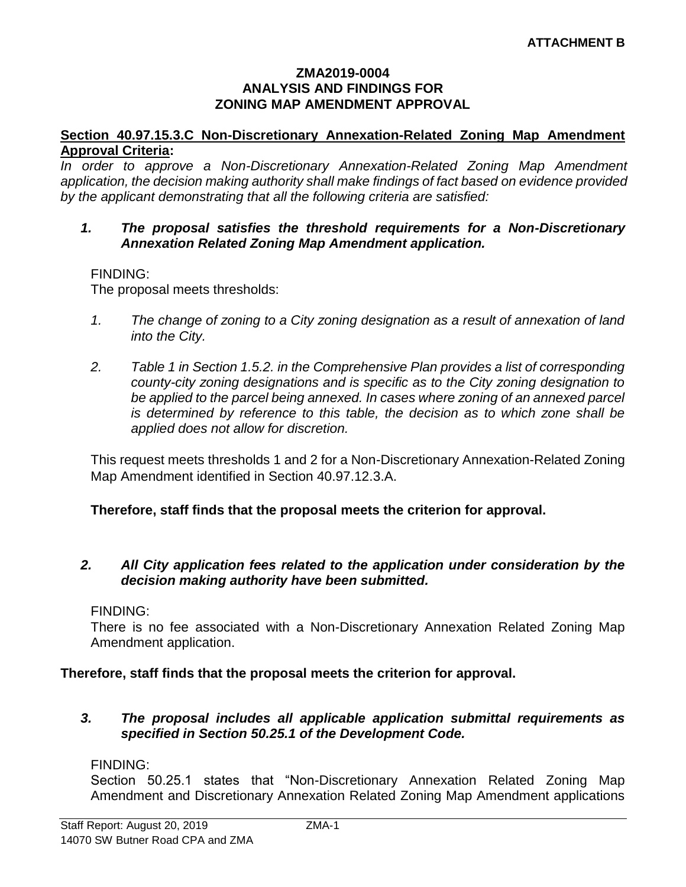#### **ZMA2019-0004 ANALYSIS AND FINDINGS FOR ZONING MAP AMENDMENT APPROVAL**

#### **Section 40.97.15.3.C Non-Discretionary Annexation-Related Zoning Map Amendment Approval Criteria:**

*In order to approve a Non-Discretionary Annexation-Related Zoning Map Amendment application, the decision making authority shall make findings of fact based on evidence provided by the applicant demonstrating that all the following criteria are satisfied:*

#### *1. The proposal satisfies the threshold requirements for a Non-Discretionary Annexation Related Zoning Map Amendment application.*

### FINDING:

The proposal meets thresholds:

- *1. The change of zoning to a City zoning designation as a result of annexation of land into the City.*
- *2. Table 1 in Section 1.5.2. in the Comprehensive Plan provides a list of corresponding county-city zoning designations and is specific as to the City zoning designation to*  be applied to the parcel being annexed. In cases where zoning of an annexed parcel *is determined by reference to this table, the decision as to which zone shall be applied does not allow for discretion.*

This request meets thresholds 1 and 2 for a Non-Discretionary Annexation-Related Zoning Map Amendment identified in Section 40.97.12.3.A.

### **Therefore, staff finds that the proposal meets the criterion for approval.**

### *2. All City application fees related to the application under consideration by the decision making authority have been submitted.*

#### FINDING:

There is no fee associated with a Non-Discretionary Annexation Related Zoning Map Amendment application.

#### **Therefore, staff finds that the proposal meets the criterion for approval.**

#### *3. The proposal includes all applicable application submittal requirements as specified in Section 50.25.1 of the Development Code.*

#### FINDING:

Section 50.25.1 states that "Non-Discretionary Annexation Related Zoning Map Amendment and Discretionary Annexation Related Zoning Map Amendment applications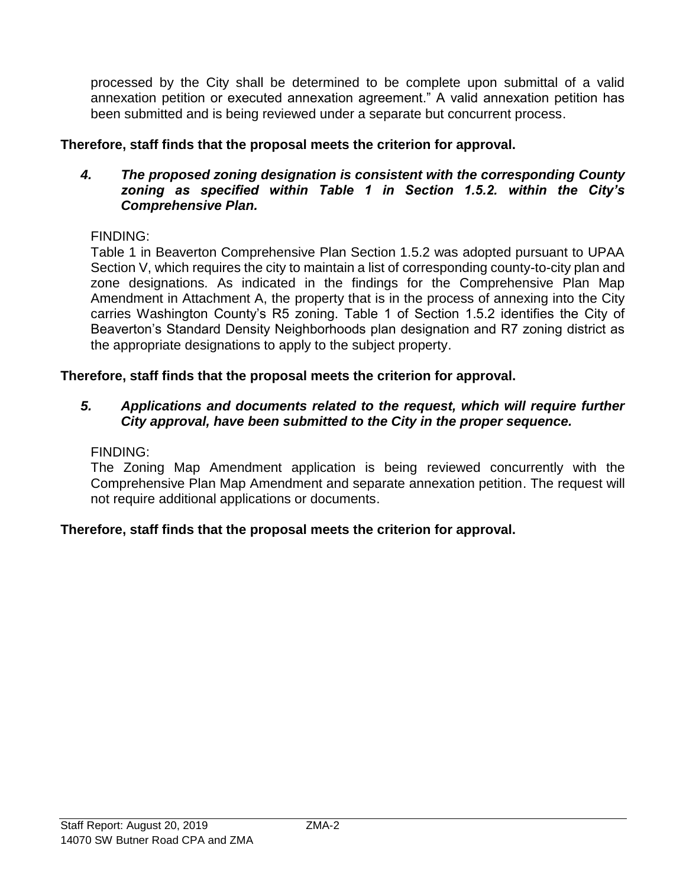processed by the City shall be determined to be complete upon submittal of a valid annexation petition or executed annexation agreement." A valid annexation petition has been submitted and is being reviewed under a separate but concurrent process.

# **Therefore, staff finds that the proposal meets the criterion for approval.**

### *4. The proposed zoning designation is consistent with the corresponding County zoning as specified within Table 1 in Section 1.5.2. within the City's Comprehensive Plan.*

# FINDING:

Table 1 in Beaverton Comprehensive Plan Section 1.5.2 was adopted pursuant to UPAA Section V, which requires the city to maintain a list of corresponding county-to-city plan and zone designations. As indicated in the findings for the Comprehensive Plan Map Amendment in Attachment A, the property that is in the process of annexing into the City carries Washington County's R5 zoning. Table 1 of Section 1.5.2 identifies the City of Beaverton's Standard Density Neighborhoods plan designation and R7 zoning district as the appropriate designations to apply to the subject property.

# **Therefore, staff finds that the proposal meets the criterion for approval.**

### *5. Applications and documents related to the request, which will require further City approval, have been submitted to the City in the proper sequence.*

### FINDING:

The Zoning Map Amendment application is being reviewed concurrently with the Comprehensive Plan Map Amendment and separate annexation petition. The request will not require additional applications or documents.

# **Therefore, staff finds that the proposal meets the criterion for approval.**